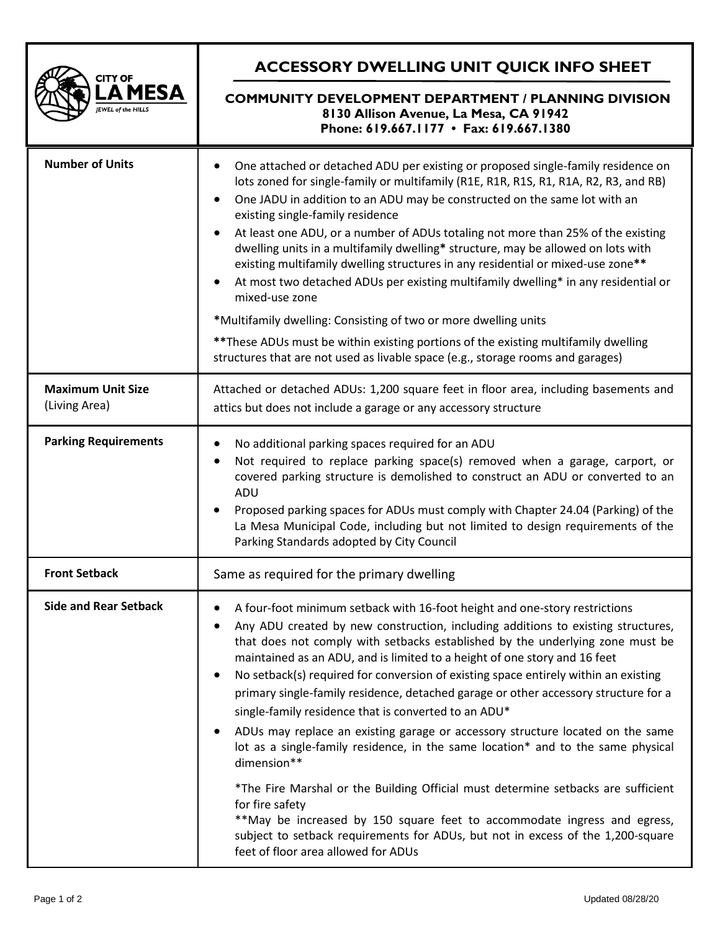| <b>CITY OF</b><br>A MESA<br><b>EWEL of the HILLS</b> | <b>ACCESSORY DWELLING UNIT QUICK INFO SHEET</b>                                                                                                                                                                                                                                                                                                                                                                                                                                                                                                                                                                                                                                                                                                                                                                                                                                                                                                                                                                                                                                                           |
|------------------------------------------------------|-----------------------------------------------------------------------------------------------------------------------------------------------------------------------------------------------------------------------------------------------------------------------------------------------------------------------------------------------------------------------------------------------------------------------------------------------------------------------------------------------------------------------------------------------------------------------------------------------------------------------------------------------------------------------------------------------------------------------------------------------------------------------------------------------------------------------------------------------------------------------------------------------------------------------------------------------------------------------------------------------------------------------------------------------------------------------------------------------------------|
|                                                      | <b>COMMUNITY DEVELOPMENT DEPARTMENT / PLANNING DIVISION</b><br>8130 Allison Avenue, La Mesa, CA 91942<br>Phone: 619.667.1177 • Fax: 619.667.1380                                                                                                                                                                                                                                                                                                                                                                                                                                                                                                                                                                                                                                                                                                                                                                                                                                                                                                                                                          |
| <b>Number of Units</b>                               | One attached or detached ADU per existing or proposed single-family residence on<br>lots zoned for single-family or multifamily (R1E, R1R, R1S, R1, R1A, R2, R3, and RB)<br>One JADU in addition to an ADU may be constructed on the same lot with an<br>٠<br>existing single-family residence<br>At least one ADU, or a number of ADUs totaling not more than 25% of the existing<br>٠<br>dwelling units in a multifamily dwelling* structure, may be allowed on lots with<br>existing multifamily dwelling structures in any residential or mixed-use zone**<br>At most two detached ADUs per existing multifamily dwelling* in any residential or<br>$\bullet$<br>mixed-use zone<br>*Multifamily dwelling: Consisting of two or more dwelling units<br>** These ADUs must be within existing portions of the existing multifamily dwelling<br>structures that are not used as livable space (e.g., storage rooms and garages)                                                                                                                                                                          |
| <b>Maximum Unit Size</b><br>(Living Area)            | Attached or detached ADUs: 1,200 square feet in floor area, including basements and<br>attics but does not include a garage or any accessory structure                                                                                                                                                                                                                                                                                                                                                                                                                                                                                                                                                                                                                                                                                                                                                                                                                                                                                                                                                    |
| <b>Parking Requirements</b>                          | No additional parking spaces required for an ADU<br>$\bullet$<br>Not required to replace parking space(s) removed when a garage, carport, or<br>$\bullet$<br>covered parking structure is demolished to construct an ADU or converted to an<br>ADU<br>Proposed parking spaces for ADUs must comply with Chapter 24.04 (Parking) of the<br>La Mesa Municipal Code, including but not limited to design requirements of the<br>Parking Standards adopted by City Council                                                                                                                                                                                                                                                                                                                                                                                                                                                                                                                                                                                                                                    |
| <b>Front Setback</b>                                 | Same as required for the primary dwelling                                                                                                                                                                                                                                                                                                                                                                                                                                                                                                                                                                                                                                                                                                                                                                                                                                                                                                                                                                                                                                                                 |
| <b>Side and Rear Setback</b>                         | A four-foot minimum setback with 16-foot height and one-story restrictions<br>٠<br>Any ADU created by new construction, including additions to existing structures,<br>٠<br>that does not comply with setbacks established by the underlying zone must be<br>maintained as an ADU, and is limited to a height of one story and 16 feet<br>No setback(s) required for conversion of existing space entirely within an existing<br>$\bullet$<br>primary single-family residence, detached garage or other accessory structure for a<br>single-family residence that is converted to an ADU*<br>ADUs may replace an existing garage or accessory structure located on the same<br>$\bullet$<br>lot as a single-family residence, in the same location* and to the same physical<br>dimension**<br>*The Fire Marshal or the Building Official must determine setbacks are sufficient<br>for fire safety<br>**May be increased by 150 square feet to accommodate ingress and egress,<br>subject to setback requirements for ADUs, but not in excess of the 1,200-square<br>feet of floor area allowed for ADUs |